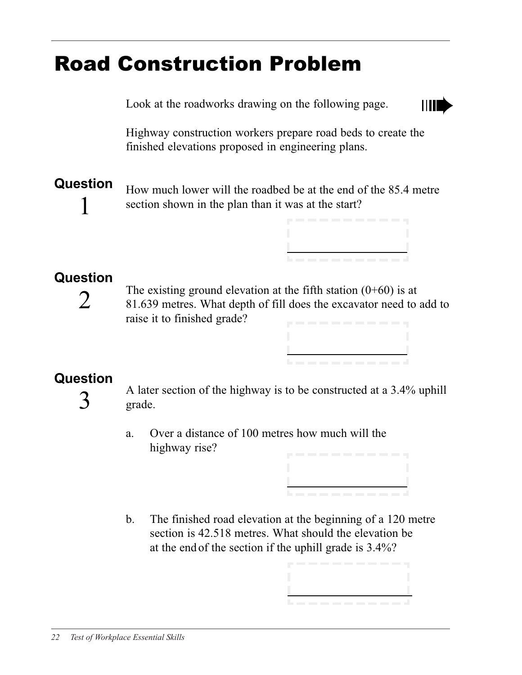# Road Construction Problem

Look at the roadworks drawing on the following page.



Highway construction workers prepare road beds to create the finished elevations proposed in engineering plans.

### **Question**

1

How much lower will the roadbed be at the end of the 85.4 metre section shown in the plan than it was at the start?

| . |  |
|---|--|

#### **Question**

2

The existing ground elevation at the fifth station  $(0+60)$  is at 81.639 metres. What depth of fill does the excavator need to add to raise it to finished grade?

#### **Question**

3

A later section of the highway is to be constructed at a 3.4% uphill grade.

- a. Over a distance of 100 metres how much will the highway rise?
- b. The finished road elevation at the beginning of a 120 metre section is 42.518 metres. What should the elevation be at the end of the section if the uphill grade is 3.4%?

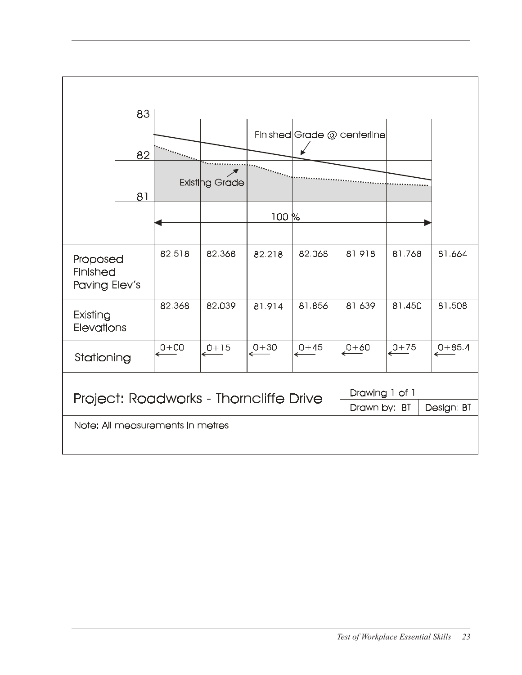|                                        | 83 |                      |                |                      |                                  |          |                |                        |  |  |
|----------------------------------------|----|----------------------|----------------|----------------------|----------------------------------|----------|----------------|------------------------|--|--|
|                                        |    |                      |                |                      | Finished Grade @ centerline      |          |                |                        |  |  |
|                                        | 82 |                      |                |                      |                                  |          |                |                        |  |  |
|                                        |    |                      |                |                      |                                  |          |                |                        |  |  |
|                                        | 81 |                      | Existing Grade |                      |                                  |          |                |                        |  |  |
|                                        |    |                      |                |                      |                                  |          |                |                        |  |  |
|                                        |    |                      |                | 100%                 |                                  |          |                |                        |  |  |
|                                        |    |                      |                |                      |                                  |          |                |                        |  |  |
| Proposed<br>Finished<br>Paving Elev's  |    | 82.518               | 82.368         | 82.218               | 82.068                           | 81.918   | 81.768         | 81.664                 |  |  |
| Existing<br>Elevations                 |    | 82.368               | 82.039         | 81.914               | 81.856                           | 81.639   | 81.450         | 81.508                 |  |  |
| Stationing                             |    | $\xrightarrow{0+00}$ | $e^{0+15}$     | $\xrightarrow{0+30}$ | $\overset{0+45}{\longleftarrow}$ | $0 + 60$ | $e^{0+75}$     | $\xrightarrow{0+85.4}$ |  |  |
|                                        |    |                      |                |                      |                                  |          |                |                        |  |  |
| Project: Roadworks - Thorncliffe Drive |    |                      |                |                      |                                  |          | Drawing 1 of 1 |                        |  |  |
| Drawn by: BT<br>Design: BT             |    |                      |                |                      |                                  |          |                |                        |  |  |
| Note: All measurements in metres       |    |                      |                |                      |                                  |          |                |                        |  |  |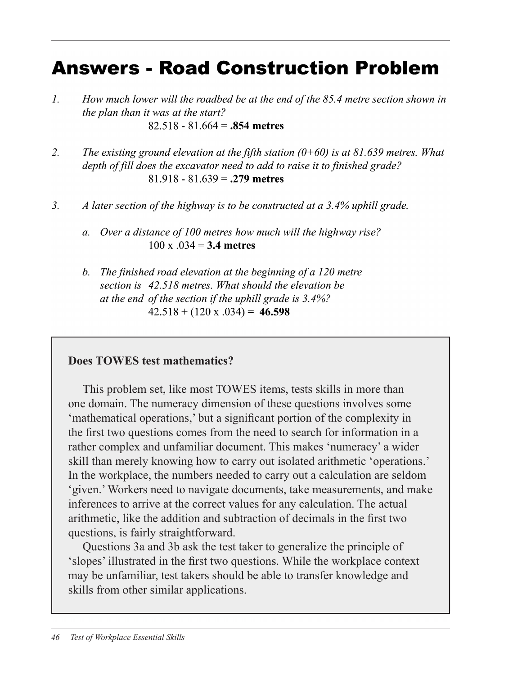## **Answers - Road Construction Problem**

- $\overline{L}$ How much lower will the roadbed be at the end of the 85.4 metre section shown in the plan than it was at the start?  $82.518 - 81.664 = .854$  metres
- $\overline{2}$ . The existing ground elevation at the fifth station  $(0+60)$  is at 81.639 metres. What depth of fill does the excavator need to add to raise it to finished grade?  $81.918 - 81.639 = .279$  metres
- $3.$ A later section of the highway is to be constructed at a 3.4% uphill grade.
	- a. Over a distance of 100 metres how much will the highway rise?  $100 \times 0.034 = 3.4$  metres
	- b. The finished road elevation at the beginning of a 120 metre section is 42.518 metres. What should the elevation be at the end of the section if the uphill grade is 3.4%?  $42.518 + (120 \times .034) = 46.598$

#### **Does TOWES test mathematics?**

This problem set, like most TOWES items, tests skills in more than one domain. The numeracy dimension of these questions involves some 'mathematical operations,' but a significant portion of the complexity in the first two questions comes from the need to search for information in a rather complex and unfamiliar document. This makes 'numeracy' a wider skill than merely knowing how to carry out isolated arithmetic 'operations.' In the workplace, the numbers needed to carry out a calculation are seldom 'given.' Workers need to navigate documents, take measurements, and make inferences to arrive at the correct values for any calculation. The actual arithmetic, like the addition and subtraction of decimals in the first two questions, is fairly straightforward.

Questions 3a and 3b ask the test taker to generalize the principle of 'slopes' illustrated in the first two questions. While the workplace context may be unfamiliar, test takers should be able to transfer knowledge and skills from other similar applications.